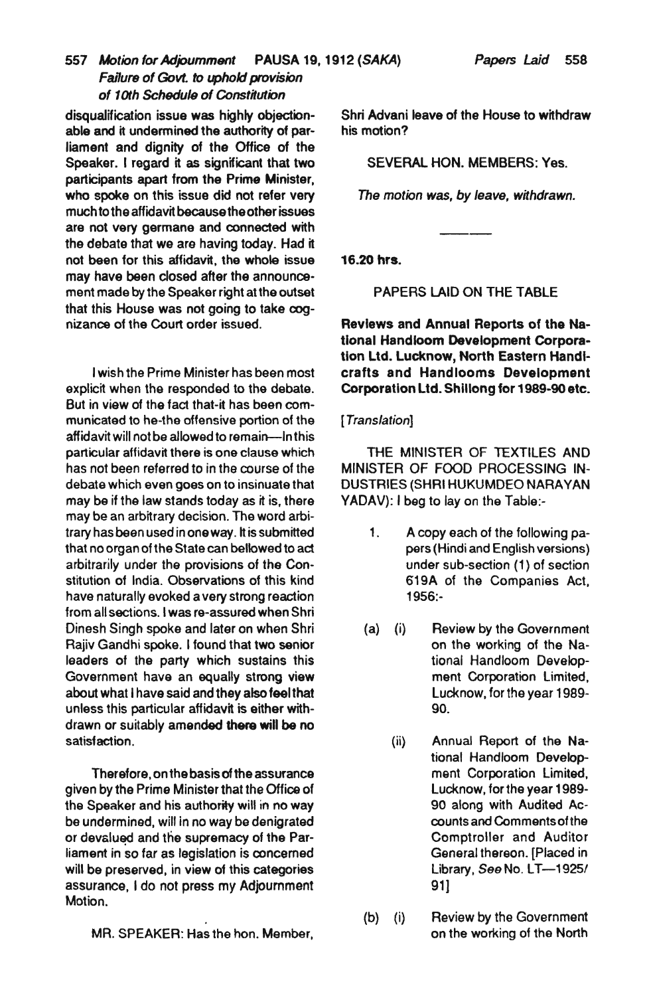## *557 Motion for Adjoumment* PAUSA 19,1912 *(SAKA) Papers Laid 558 Fa/lure of Govt.* to *uphold provision of 10th Scheduls of Constitution*

disqualification issue was highly objectionable and it undermined the authority of parliament and dignity of the Office of the Speaker. I regard it as significant that two participants apart from the Prime Minister, who spoke on this issue did not refer very much to the affidavit because the other issues are not very germane and connected with the debate that we are having today. Had it not been for this affidavit, the whole issue may have been closed after the announcement made by the Speaker right at the outset that this House was not going to take cognizance of the Court order issued.

I wish the Prime Minister has been most explicit when the responded to the debate. But in view of the fact that-it has been communicated to he-the offensive portion of the affidavit will not be allowed to remain-In this particular affidavit there is one clause which has not been referred to in the course of the debate which even goes on to insinuate that may be if the law stands today as it is, there may be an arbitrary decision. The word arbitrary has been used in one way. It is submitted that no organ of the State can bellowed to act arbitrarily under the provisions of the Constitution of India. Observations of this kind have naturally evoked a very strong reaction from all sections. I was re-assured when Shri Dinesh Singh spoke and later on when Shri Rajiv Gandhi spoke. I found that two senior leaders of the party which sustains this Government have an equally strong view about what I have said and they also feel that unless this particular affidavit is either withdrawn or suitably amended there will be no satisfaction.

Therefore. on the basis of the assurance given by the Prime Minister that the Office of the Speaker and his authority will in no way be undermined, will in no way be denigrated or devalued and the supremacy of the Parliament in so far as legislation is concemed will be preserved. in view of this categories assurance. I do not press my Adjournment Motion.

MR. SPEAKER: Has the hon. Member,

Shri Advani leave of the House to withdraw his motion?

SEVERAL HON. MEMBERS: Yes.

*The motion was, by leave, withdrawn.* 

16.20 hrs.

PAPERS LAID ON THE TABLE

Reviews and Annual Reports of the National Handloom Development Corporation Ltd. Lucknow, North Eastern Handicrafts and Handlooms Development Corporation Ltd. Shillong for 1989-90 etc.

## [ *Translation]*

THE MINISTER OF TEXTILES AND MINISTER OF FOOD PROCESSING IN-DUSTRIES (SHRI HUKUMDEO NARAYAN YADAV): I beg to lay on the Table:-

- 1. A copy each of the following papers (Hindi and English versions) under sub-section (1) of section 619A of the Companies Act, 1956:-
- (a) (i) Review by the Government on the working of the National Handloom Development Corporation Limited, Lucknow, for the year 1989- 90.
	- (ii) Annual Report of the National Handloom Development Corporation Limited, Lucknow, for the year 1989- 90 along with Audited Accounts and Comments of the Comptroller and Auditor General thereon. [Placed in Library, *See* No. LT-1925! 91]
- (b) (i) Review by the Government on the working of the North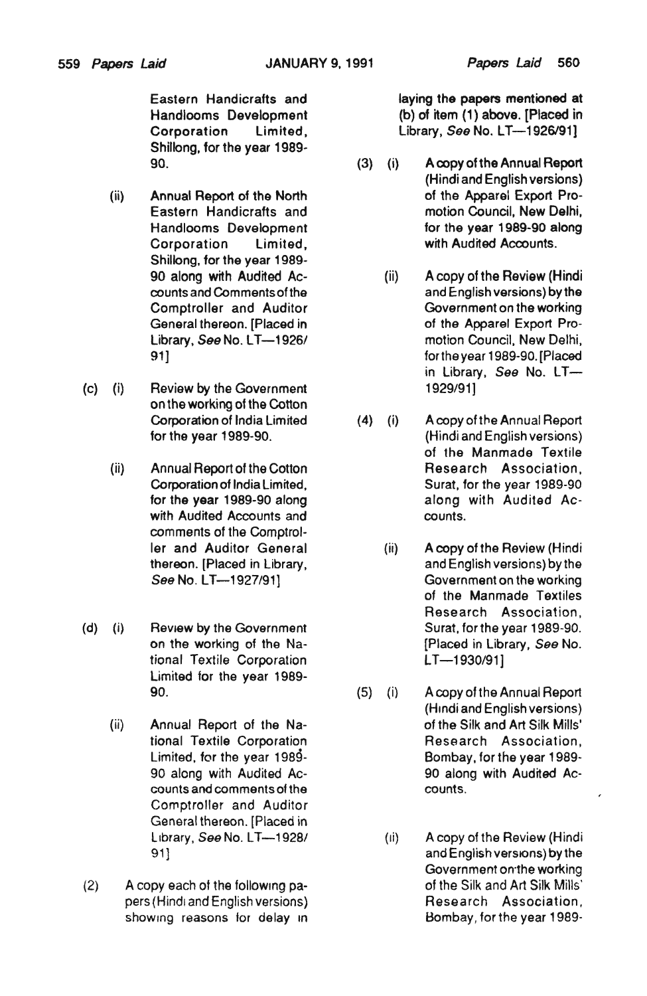Shillong, for the year 1989-

- Shillong, for the year 1989- General thereon. [Placed in
- (c) (i) Review by the Government *1929/91]*  on the working of the Cotton
	- with Audited Accounts and counts. comments of the Comptrol-
- (d) (i) Review by the Government Surat, for the year 1989-90. tional Textile Corporation **LT**-1930/91] Limited for the year 1989
	- counts and comments of the counts. Comptroller and Auditor General thereon. [Placed in
- (2) A copy each of the following pa- of the Silk and Art Silk Mills'

Eastern Handicrafts and laying the papers mentioned at Handlooms Development (b) of item (1) above. [Placed in Corporation Limited, Library, See No. LT-1926/91]

- 90. (3) (i) A copy of the Annual Report (Hindi and English versions) (ii) Annual Report of the North of the Apparel Export Pro-Eastern Handicrafts and motion Council, New Delhi, Handlooms Development for the year 1989-90 along Corporation Limited, with Audited Accounts.
	- 90 along with Audited Ac- (ii) A copy of the Review (Hindi counts and Comments of the and English versions) by the Comptroller and Auditor Government on the working Library, See No. LT-1926/ motion Council, New Delhi, 91] for the year 1989-90. [Placed in Library, See No. LT-
- Corporation of India Limited (4) (i) A copy of the Annual Report for the year 1989-90. (Hindi and English versions) of the Manmade Textile (ii) Annual Report of the Cotton Research Association, Corporation of India Limited, Surat, for the year 1989-90 for the year 1989-90 along along along with Audited Ac
	- ler and Auditor General (ii) A copy of the Review (Hindi thereon. [Placed in Library, and English versions) by the *See* No. *LT-1927/91]* Government on the working of the Manmade Textiles Research Association, on the working of the Na- [Placed in Library, *See* No.
- 90. (5) (i) A copy of the Annual Report (Hindi and English versions) (ii) Annual Report of the Na- of the Silk and Art Silk Mills' tional Textile Corporation Research Association, Limited, for the year 1989- Bombay. for the year 1989- 90 along with Audited Ac- 90 along with Audited Ac-
	- Library, *See* No. LT—1928/ (ii) A copy of the Review (Hindi 91] and English versions) by the Government on·the working pers (Hindi and English versions) Research Association, showing reasons for delay in Bombay, for the year 1989-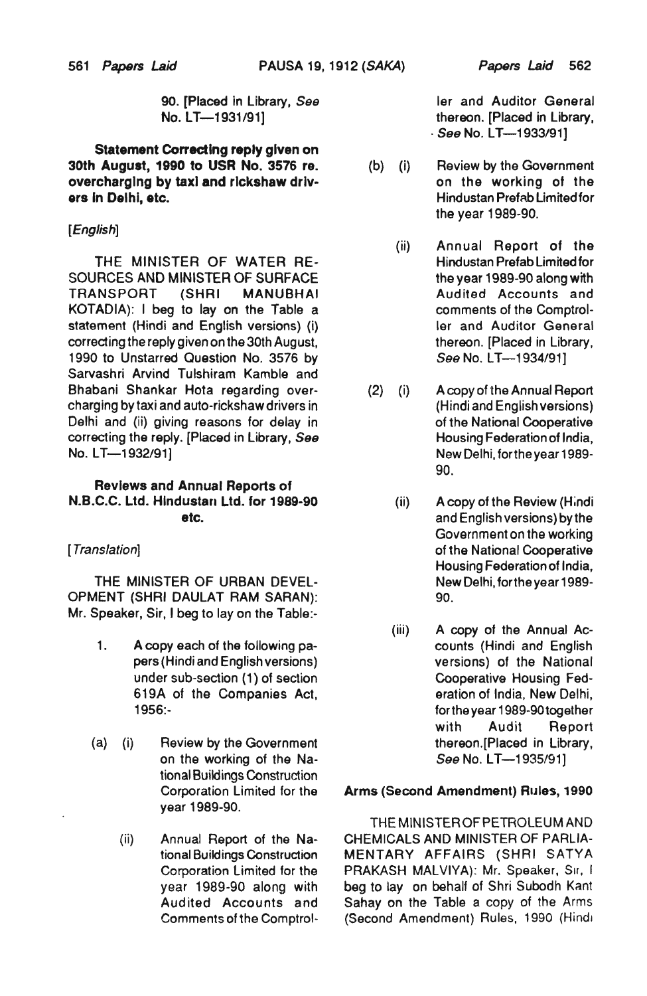90. [Placed in Library, *See*  No. LT-1931/91]

Statement Correcting reply given on 30th August, 1990 to USR No. 3576 re. overcharging by taxi and rickshaw drivers In Delhi, etc.

#### *[English]*

THE MINISTER OF WATER RE-SOURCES AND MINISTER OF SURFACE TRANSPORT (SHRI MANUBHAI KOTADIA): I beg to lay on the Table a statement (Hindi and English versions) (i) correcting the reply given on the 30th August, 1990 to Unstarred Question No. 3576 by Sarvashri Arvind Tulshiram Kamble and Bhaban; Shankar Hota regarding overcharging by taxi and auto-rickshaw drivers in Delhi and (ii) giving reasons for delay in correcting the reply. [Placed in Library, See No. *LT-1932/91]* 

#### Reviews and Annual Reports of N.B.C.C. Ltd. Hlndustan Ltd. for 1989-90 etc.

#### [ *Translation1*

THE MINISTER OF URBAN DEVEL-OPMENT (SHRI DAULAT RAM SARAN): Mr. Speaker, Sir, I beg to lay on the Table:-

- 1. A copy each of the following papers (Hindi and English versions) under sub-section (1) of section 619A of the Companies Act, 1956:-
- (a) (i) Review by the Government on the working of the National Buildings Construction Corporation Limited for the year 1989-90.
	- (ii) Annual Report of the National Buildings Construction Corporation Limited for the year 1989-90 along with Audited Accounts and Comments of the Comptrol-

ler and Auditor General thereon. [Placed in Library, *. See* No. L *T-1933/91]* 

- (b) (i) Review by the Government on the working of the Hindustan Prefab Limited for the year 1989-90.
	- (ii) Annual Report of the Hindustan Prefab limited for the year 1989-90 along with Audited Accounts and comments of the Comptroller and Auditor General thereon. [Placed in Library, *See No. LT*-1934/91]
- (2) (i) A copy of the Annual Report (Hindi and English versions) of the National Cooperative Housing Federation of India, New Delhi, forthe year 1989- 90.
	- (ii) A copy of the Review (H;ndi and English versions) by the Government on the working of the National Cooperative Housing Federation of India, New Delhi, forthe year 1989- 90.
	- (iii) A copy of the Annual Accounts (Hindi and English versions) of the National Cooperative Housing Federation of India, New Delhi, fortheyear 1989-90together with Audit Report thereon.[Placed in Library, *See* No. *LT-1935/91]*

#### Arms (Second Amendment) Rules, 1990

THE MINISTEROFPETROLEUM AND CHEMICALS AND MINISTER OF PARLIA-MENTARY AFFAIRS (SHRI SATYA PRAKASH MALVIYA): Mr. Speaker, Sir, I beg to lay on behalf of Shri Subodh Kant Sahay on the Table a copy of the Arms (Second Amendment) Rules, 1990 (Hindi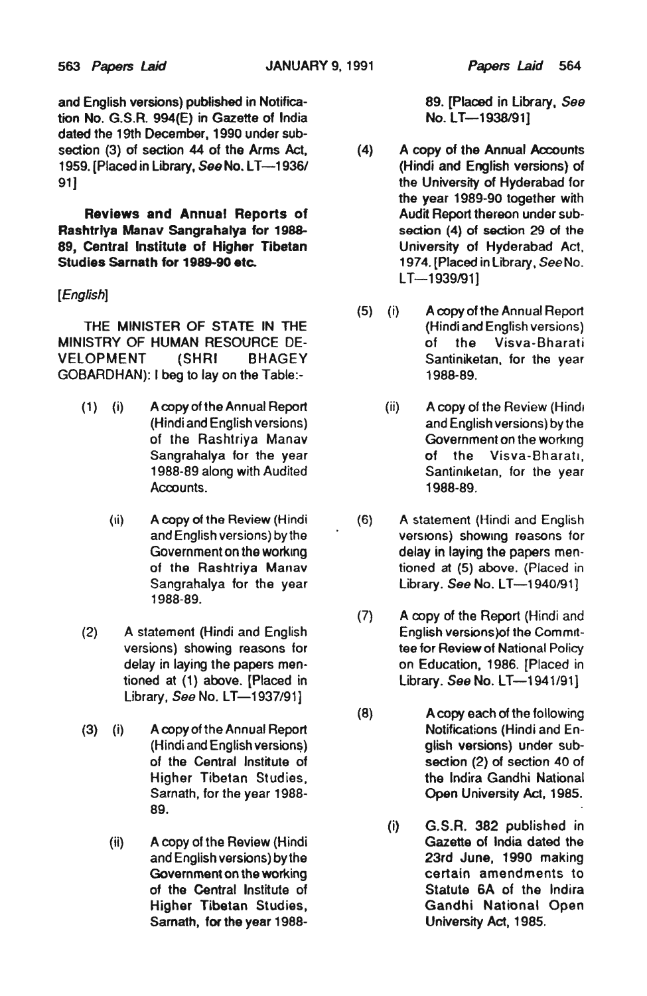and English versions) published in Notification No. G.S.R. 994(E) in Gazette of India dated the 19th December. 1990 under subsedion (3) of section 44 of the Arms Act. 1959. [Placed in Library, *See* No. LT-1936/ 91]

Reviews and Annual Reports of Rashtrlya Manav Sangrahalya for 1988- 89, Central Institute of Higher TIbetan Studies Sarnath for 1989-90 etc.

#### *[English]*

THE MINISTER OF STATE IN THE MINISTRY OF HUMAN RESOURCE DE-VELOPMENT (SHRI BHAGEY GOBARDHAN): I beg to lay on the Table:-

- (1 ) (i) A copy of the Annual Report (Hindi and English versions) of the Rashtriya Manav Sangrahalya for the year 1988-89 along with Audited Acoounts.
	- (ii) A copy of the Review (Hindi and English versions) by the Government on the working of the Rashtriya Manav Sangrahalya for the year 1988-89.
- (2) A statement (Hindi and English versions) showing reasons for delay in laying the papers men· tioned at (1) above. (Placed in Library, *See* No. *LT-1937/91]*
- (3) (i) A copy of the Annual Report (Hindi and English versions) of the Central Institute of Higher Tibetan Studies, Sarnath, for the year 1988- 89.
	- (ii) A copy of the Review (Hindi and English versions) by the Government on the working of the Central Institute of Higher Tibetan Studies, Samath, for the year 1988-

89. [Placed in Library, See No. LT-1938/91]

- (4) A copy of the Annual Accounts (Hindi and English versions) of the University of Hyderabad for the year 1989-90 together with Audit Report thereon under subsedion (4) of section 29 of the University of Hyderabad Act. 1974. [Placed in Library, *See* No. LT-1939/911
- (5) (i) A copy of the Annual Report (Hindi and English versions) of the Visva-Bharati Santiniketan. for the year 1988-89.
	- (ii) A copy of the Review (Hindi and English versions) by the Government on the working of the Visva-Bharatl, Santiniketan, for the year 1988-89,
- (6) A 5tatement (Hindi and English versions) showing reasons for delay in laying the papers mentioned at (5) above. (Placed in Library. *See* No. L T *-1940/91* ]
- (7) A copy of the Report (Hindi and English versions) of the Committee for Review of National Policy on Education, 1986. [Placed in Library. See No. LT-1941/91]
- (8) A copy each of the following Notifications (Hindi and English versions) under subsedion (2) of section 40 of the Indira Gandhi National Open University Act, 1985.
	- (i) G.S.R. 382 published in Gazette of India dated the 23rd June, 1990 making certain amendments to Statute SA of the Indira Gandhi National Open University Act, 1985,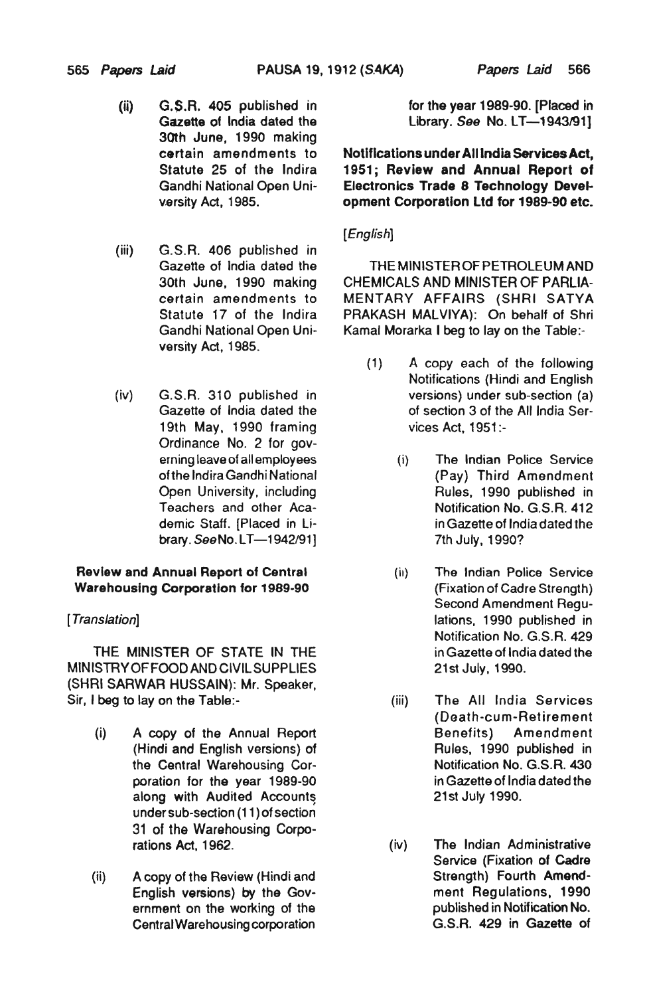- (ii) G. S.R. 405 published in Gazette of India dated the 30th June, 1990 making certain amendments to Statute 25 of the Indira Gandhi National Open University Act, 1985.
- (iii) G.S.R. *406* published in Gazette of India dated the 30th June, 1990 making certain amendments to Statute 17 of the Indira Gandhi National Open University Act, 1985.
- (iv) G.S.R. 310 published in Gazette of India dated the 19th May. *1990* framing Ordinance No. 2 for governing leave of all employees oftha Indira Gandhi National Open University, including Teachers and other Academic Staff. (Placed in Library. SeeNo.LT-1942/91]

#### Review and Annual Report of Centra' Warehousing Corporation for 1989-90

## [ *Translation]*

THE MINISTER OF STATE IN THE MINISTRY OF FOOD AND CIVIL SUPPLIES (SHRI SARWAR HUSSAIN): Mr. Speaker, Sir, I beg to lay on the Table:-

- (i) A *copy* of the Annual Report (Hindi and English versions) of the Central Warehousing Corporation for the year 1989-90 along with Audited Accounts under sub-section (11) of section 31 of the Warehousing Corporations Act, 1962.
- (ii) A copy of the Review (Hindi and English versions) by the Government on the working of the Central Warehousing corporation

for the year 1989-90. [Placed in Library. See No. LT-1943/91]

Notifications under All India Services Act, 1951; Review and Annual Report of Electronics Trade 8 Technology Development Corporation ltd for 1989-90 etc.

## *[English]*

THE MINISTER OF PETROLEUM AND CHEMICALS AND MINISTER OF PARLIA-MENTARY AFFAIRS (SHRI SATYA PRAKASH MAlVIYA): On behalf of Shri Kamal Morarka I beg to lay on the Table:-

- (1) A copy each of the following Notifications (Hindi and English versions) under sub-section (a) of section 3 of the All India Services Act. 1951:-
	- (i) The Indian Police Service (Pay) Third Amendment Rules, 1990 published in Notification No. G.S.R. 412 in Gazette of India dated the 7th July. 1990?
	- (ii) The Indian Police Service (Fixation of Cadre Strength) Second Amendment Regulations, 1990 published in Notification No. G.S.R. 429 in Gazette of India dated the 21st July, 1990.
	- (iii) The All India Services (Death-cum-Retirement Benefits) Amendment Rulas. 1990 published in Notification No. G.S.R. 430 in Gazette of India dated the 21st July 1990.
	- (iv) The Indian Administrative Service (Fixation of Cadre Strength) Fourth Amendment Regulations. 1990 published in Notification No. G.S.R. 429 in Gazette of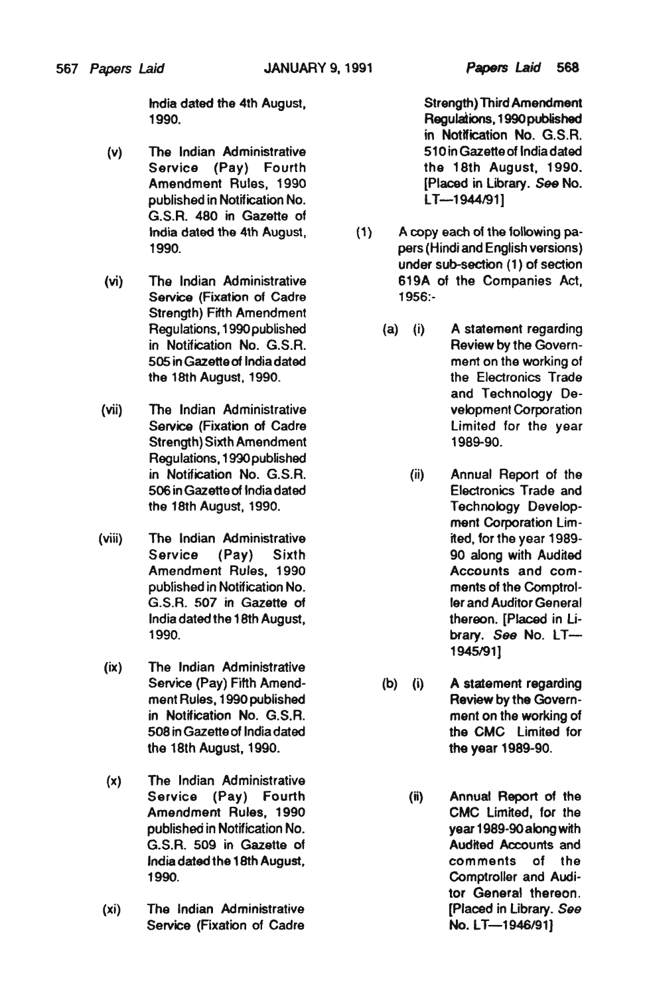- (v) The Indian Administrative 510 in Gazette of India dated<br>Service (Pay) Fourth the 18th August, 1990. Service (Pay) Fourth published in Notification No.  $LT-1944/91$ G.S.R. 480 in Gazette of
- Service (Fixation of Cadre 1956:-Strength) Fifth Amendment
- (vii) The Indian Administrative velopment Corporation Strength) Sixth Amendment 1989-90. Regulations. 1990 published
- (viii) The Indian Administrative ited, for the year 1989-
- (ix) The Indian Administrative the 18th August, 1990. the year 1989-90.
- (x) The Indian Administrative
- (xi) The Indian Administrative [Placed in Library. See Service (Fixation of Cadre No. LT—1946/91)

India dated the 4th August, Strength) Third Amendment 1990. Regulations. 1990 published in Notlfication No. G.S.R. Amendment Rules, 1990 [Placed in Library. See No.

- India dated the 4th August, (1) A copy each of the following pa-1990. pars (Hindi and English versions) under sub-section (1) of section (vi) The Indian Administrative 619A of the Companies Act.
	- Regulations, 1990 published (a) (i) A statement regarding in Notification No. G.S.R. Review by the Govern-505 in Gazette of India dated ment on the working of the 18th August, 1990. the Electronics Trade and Technology De- Service (Fixation of Cadre limited for the year
	- in Notification No. G.S.R. (ii) Annual Report of the 506 in Gazette of India dated Electronics Trade and the 18th August, 1990. Technology Development Corporation Lim- Service (Pay) Sixth 90 along with Audited Amendment Rules, 1990 **Accounts** and compublished in Notification No. ments of the Comptrol-G.S.R. 507 in Gazette *01* ler and Auditor General India dated the 18th August, the new thereon. [Placed in Li-1990. brary. See No. LT-1945191)
	- Service (Pay) Fifth Amend- (b) (i) A statement regarding ment Rules, 1990 published Review by the Governin Notification No. G.S.R. ment on the working of 508 in Gazette of India dated the CMC Limited for
	- Service (Pay) Fourth (ii) Annual Report of the Amendment Rules, 1990 CMC Limited, for the published in Notification No. year 1989-90 along with G.S.R. 509 in Gazette of **Audited Accounts and** India dated the 18th August, comments of the 1990. Comptroller and Auditor General thereon.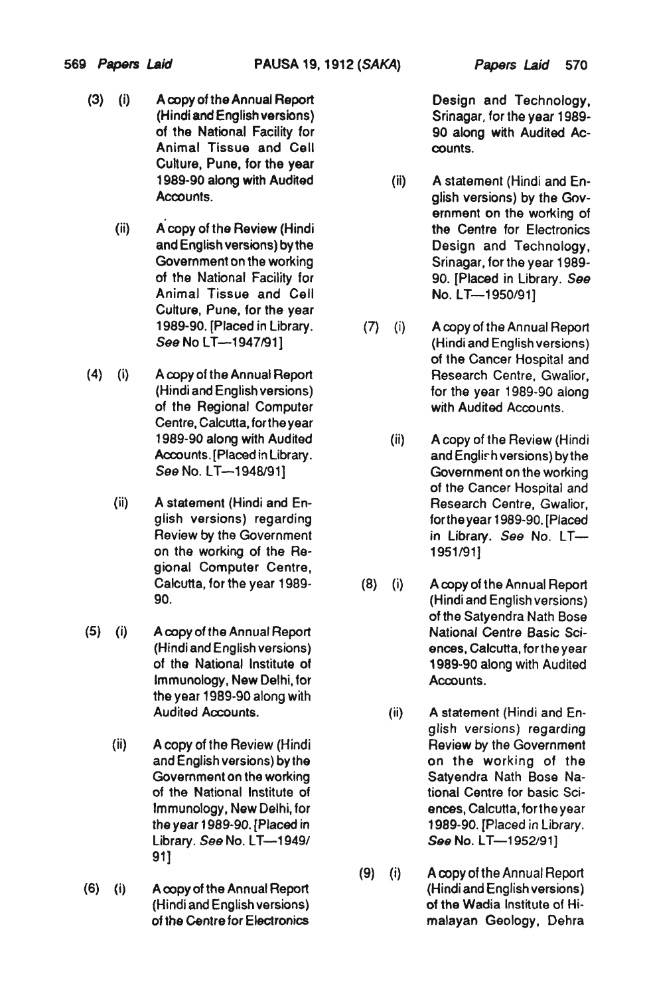5S9 *Papers Laid* PAUSA 19,1912 *(SAKA) Papers Laid* 570

- (3) (i) A copy of the Annual Report Design and Technology, (Hindi and English versions) Srinagar, for the year 1989of the National Facility for 90 along with Audited Ac-Animal Tissue and Cell counts. Culture, Puna, for the year
	- (ii) A copy of the Review (Hindi the Centre for Electronics Animal Tissue and Cell **No. LT-1950/91**] Culture, Pune, for the year
- (4) (i) A copy of the Annual Report Research Centre, Gwalior, Centre, Calcutta, for the year
	- (ii) A statement (Hindi and En-<br>
	Research Centre, Gwalior, on the working of the Re- 1951/91] gional Computer Centre,
- (5) (i) A copy of the Annual Report National Centre Basic Sci-Immunology, New Delhi, for Accounts. the year 1989-90 along with
	- (ii) A copy of the Review (Hindi Review by the Government 91]
- (6) (i) A copy of the Annual Report (Hindi and English versions)

- 1989-90 along with Audited (il) A statement (Hindi and En-Accounts. glish versions) by the Government on the working of and English versions) by the Design and Technology, Government on the working Srinagar, for the year 1989of the National Facility for 90. [Placed in Library. See
- 1989-90. [Placed in Library. (7) (i) A copy of the Annual Report *See* No LT-1947191} (Hindi and English versions) of the Cancer Hospital and (Hindi and English versions) for the year 1989-90 along of the Regional Computer with Audited Accounts.
- 1989-90 along with Audited (ii) A copy of the Review (Hindi Accounts. [Placed in Library. and Englirh versions) by the **Government on the working** of the Cancer Hospital and glish versions) regarding forthe year 1989-90. [Placed Review by the Government in Library. See No. LT-
- Calcutta, for the year 1989- (8) (i) A copy of the Annual Report 90. (Hindi and English versions) of the Satyendra Nath Bose (Hindi and English versions) ences, Calcutta, for the year of the National Institute of 1989-90 along with Audited
- Audited Accounts. **Audited Accounts.** (ii) A statement (Hindi and English versions) regarding and English versions) by the **contact on the working** of the Government on the working in the Satyendra Nath Bose Naof the National Institute of the tional Centre for basic Sci-Immunology, New Delhi, for ences, Calcutta, for the year the year 1989·90. [Placed in 1989-90. [Placed in library. Library. *See* No. LT—1949/ **599 No. LT—1952/91**]
- (9) (i) A copy of the Annual Report (Hindi and English versions) of the Wadia Institute of Hiof the Centre for EJectronics malayan Geology, Dehra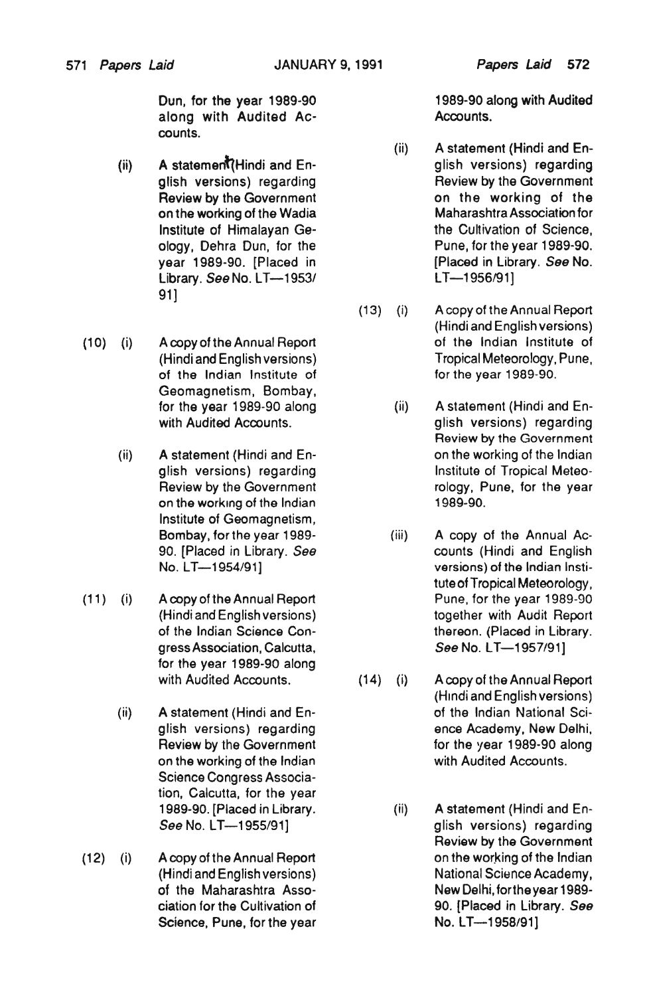Dun, for the year 1989-90 1989-90 1989-90 along with Audited along with Audited Ac- **Accounts.** counts.

- A stateme~Hindi and En- (ii) glish versions) regarding on the working of the Wadia Library. *See* No. LT--1953/ LT--1956/91] 91 ]
- (10) (i) A copy of the Annual Report of the Indian Institute of Geomagnetism, Bombay,
	- (ii) A statement (Hindi and En-<br>
	on the working of the Indian on the working of the Indian 1989-90. Institute of Geomagnetism,
- (11) (i) A copy of the Annual Report Pune, for the year 1989-90 for the year 1989-90 along
	- Science Congress Association, Calcutta, for the year
- (12) (i) A copy of the Annual Report on the working of the Indian Science, Pune, for the year No. LT-1958/91]

- (ii) A statement (Hindi and En glish versions) regarding The Review by the Government Review by the Government **come container the working of the container on the working of the container on the working**<br> **Container on the wadded by the Wadia** Institute of Himalayan Ge-<br>
the Cultivation of Science, ology I Dehra Dun, for the Pune, for the year 1989-90. year 1989-90. [Placed in [Placed in Library. *Sse* No.
- (13) (i) A copy of the Annual Report (Hindi and English versions) (Hindi and English versions) Tropical Meteorology, Pune, of the Indian Institute of for the year 1989-90.
- for the year 1989-90 along (ii) A statement (Hindi and Enwith Audited Accounts. The settlement of the glish versions) regarding Review by the Government glish versions) regarding interest institute of Tropical Meteo-Review by the Government rology, Pune, for the year
- Bombay, for the year 1989- (iii) A copy of the Annual Ac-90. [Placed in Library. *See* counts (Hindi and English No. LT—1954/91] versions) of the Indian Institute of Tropical Meteorology, (Hindi and English versions) together with Audit Report of the Indian Science Con- thereon. (Placed in Library. gress Association, Calcutta, *See No. LT*—1957/91]
- with Audited Accounts. (14) (i) A copy of the Annual Report (Hindi and English versions) (ii) A statement (Hindi and En- of the Indian National Sciglish versions) regarding ence Academy, New Delhi, Review by the Government for the year 1989-90 along on the working of the Indian with Audited Accounts.
	- 1989-90. [Placed in Library. (ii) A statement (Hindi and En-*See* No. LT-1955/91] glish versions) regarding Review by the Government (Hindi and English versions) National Science Academy, of the Maharashtra Asso-<br>
	New Delhi, for the year 1989ciation for the Cultivation of 90. (Placed in Library. *See*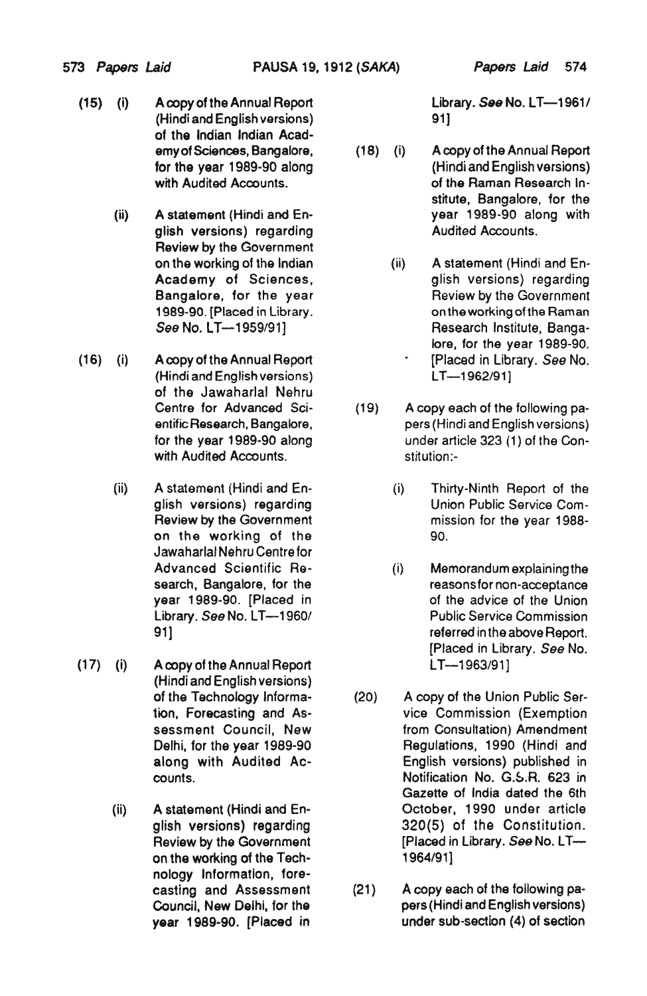- (15) (i) A copy of the Annual Report Library. See No. LT-1961/ (Hindi and English versions) 91] of the Indian Indian Acad-
	- Review by the Government
- (16) (i) A copy of the Annual Report [Placed in Library. *See* No. (Hindi and English versions) LT-1962/91] of the Jawaharlal Nehru with Audited Accounts. The stitution:-
	- (ii) A statement (Hindi and En- (i) Thirty-Ninth Report of the on the working of the 90. Jawaharlal Nehru Centre for
- (17) (i) A copy of the Annual Report LT-1963/91] (Hindi and English versions)
	- on the working of the Technology Information, fore-

- emyof Sciences, Bangatore, (18) (i) A copy of the Annual Report for the year 1989-90 along (Hindi and English versions) with Audited Accounts. The Community of the Raman Research Institute, Bangalore, for the (ii) A statement (Hindi and En- year 1989-90 along with glish versions) regarding and all and Audited Accounts.
	- on the working of the Indian (ii) A statement (Hindi and En-Academy of Sciences, and all glish versions) regarding Bangalore, for the year Review by the Government 1989-90. [Placed in Library. The Continuent on the working of the Raman See No. LT--1959/91] **Research Institute, Banga**lore, for the year 1989-90.
	- Centre for Advanced Sci- (19) A copy each of the following paentific Research, Bangalore, pers (Hindi and English versions) for the year 1989-90 along under article 323 (1) of the Con-
	- glish versions) regarding Union Public Service Com-Review by the Government mission for the year 1988-
	- Advanced Scientific Ae- (i) Memorandum explaining the search, Bangalore, for the reasons for non-acceptance<br>year 1989-90. [Placed in the advice of the Union of the advice of the Union Library. See No. LT-1960/ Public Service Commission 91] referred in the above Report. [Placed in Library. *See* No.
- of the Technology Informa- (20) A copy of the Union Public Sertion, Forecasting and As- vice Commission (Exemption sessment Council, New from Consultation) Amendment Delhi, for the year 1989-90 Regulations, 1990 (Hindi and along with Audited Ac- English versions) published in counts. **Notification No. G.S.R. 623 in** Gazette of India dated the 6th (ii) A statement (Hindi and En- October, 1990 under article glish versions) regarding 320(5) of the Constitution. Review by the Government [Placed in Library. *See* No. LT—<br>on the working of the Tech- **1964/91**]
	- casting and Assessment (21) A copy each of the following pa-Council, New Delhi, for the pers (Hindi and English versions) year 1989-90. [Placed in **under sub-section (4)** of section